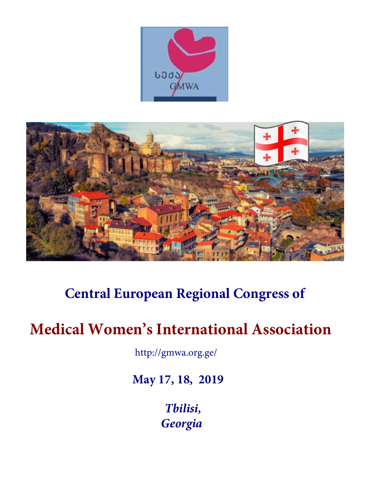



# **Central European Regional Congress of**

# **Medical Women's International Association**

http://gmwa.org.ge/

**May 17, 18, 2019**

*Tbilisi, Georgia*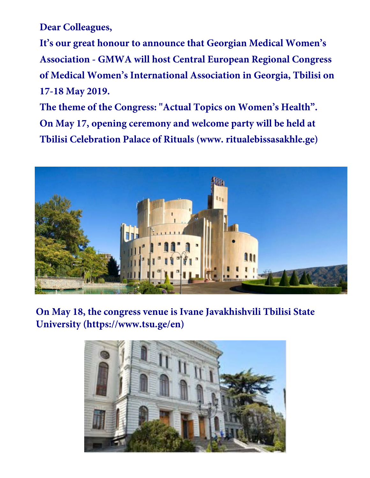**Dear Colleagues,**

**It's our great honour to announce that Georgian Medical Women's Association - GMWA will host Central European Regional Congress of Medical Women's International Association in Georgia, Tbilisi on 17-18 May 2019.** 

**The theme of the Congress: "Actual Topics on Women's Health". On May 17, opening ceremony and welcome party will be held at Tbilisi Celebration Palace of Rituals (www. ritualebissasakhle.ge)**



**On May 18, the congress venue is Ivane Javakhishvili Tbilisi State University (https://www.tsu.ge/en)**

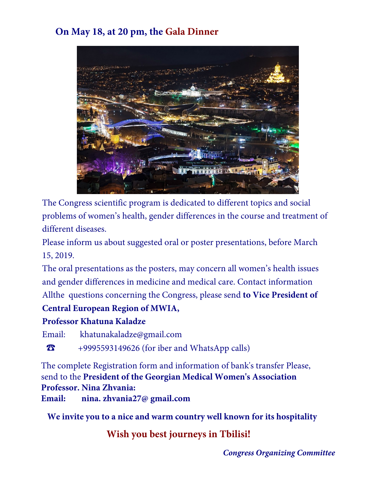# **On May 18, at 20 pm, the Gala Dinner**



The Congress scientific program is dedicated to different topics and social problems of women's health, gender differences in the course and treatment of different diseases.

Please inform us about suggested oral or poster presentations, before March 15, 2019.

The oral presentations as the posters, may concern all women's health issues and gender differences in medicine and medical care. Contact information Allthe questions concerning the Congress, please send **to Vice President of** 

# **Central European Region of MWIA,**

# **Professor Khatuna Kaladze**

Email: khatunakaladze@gmail.com

☎ +9995593149626 (for iber and WhatsApp calls)

The complete Registration form and information of bank's transfer Please, send to the **President of the Georgian Medical Women's Association Professor. Nina Zhvania:** 

**Email: nina. zhvania27@ gmail.com** 

**We invite you to a nice and warm country well known for its hospitality**

**Wish you best journeys in Tbilisi!**

*Congress Organizing Committee*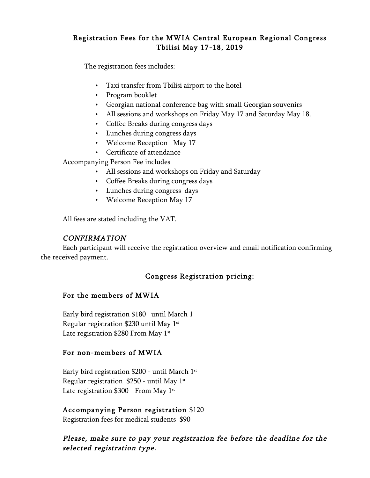## Registration Fees for the MWIA Central European Regional Congress Tbilisi May 17-18, 2019

The registration fees includes:

- Taxi transfer from Tbilisi airport to the hotel
- Program booklet
- Georgian national conference bag with small Georgian souvenirs
- All sessions and workshops on Friday May 17 and Saturday May 18.
- Coffee Breaks during congress days
- Lunches during congress days
- Welcome Reception May 17
- Certificate of attendance

Accompanying Person Fee includes

- All sessions and workshops on Friday and Saturday
- Coffee Breaks during congress days
- Lunches during congress days
- Welcome Reception May 17

All fees are stated including the VAT.

### CONFIRMATION

Each participant will receive the registration overview and email notification confirming the received payment.

## Congress Registration pricing:

#### For the members of MWIA

Early bird registration \$180 until March 1 Regular registration \$230 until May  $1<sup>st</sup>$ Late registration \$280 From May 1<sup>st</sup>

#### For non-members of MWIA

Early bird registration \$200 - until March 1st Regular registration  $$250$  - until May 1<sup>st</sup> Late registration  $$300$  - From May 1<sup>st</sup>

#### Accompanying Person registration \$120

Registration fees for medical students \$90

## Please, make sure to pay your registration fee before the deadline for the selected registration type.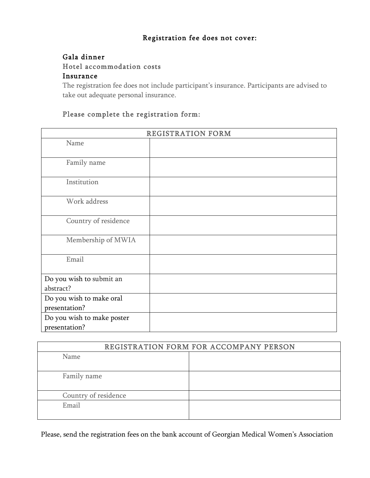### Registration fee does not cover:

#### Gala dinner

Hotel accommodation costs

#### Insurance

The registration fee does not include participant's insurance. Participants are advised to take out adequate personal insurance.

# Please complete the registration form:

| REGISTRATION FORM          |  |  |
|----------------------------|--|--|
| Name                       |  |  |
| Family name                |  |  |
| Institution                |  |  |
| Work address               |  |  |
| Country of residence       |  |  |
| Membership of MWIA         |  |  |
| Email                      |  |  |
| Do you wish to submit an   |  |  |
| abstract?                  |  |  |
| Do you wish to make oral   |  |  |
| presentation?              |  |  |
| Do you wish to make poster |  |  |
| presentation?              |  |  |

| REGISTRATION FORM FOR ACCOMPANY PERSON |  |
|----------------------------------------|--|
| Name                                   |  |
| Family name                            |  |
| Country of residence                   |  |
| Email                                  |  |

Please, send the registration fees on the bank account of Georgian Medical Women's Association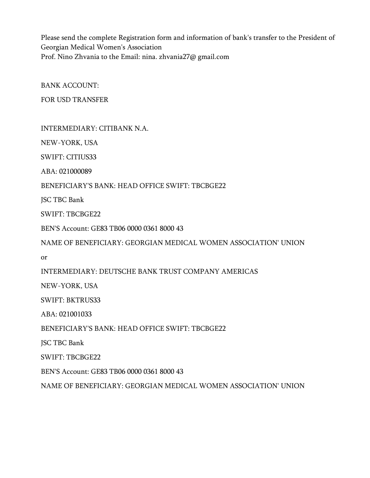Please send the complete Registration form and information of bank's transfer to the President of Georgian Medical Women's Association Prof. Nino Zhvania to the Email: nina. zhvania27@ gmail.com

BANK ACCOUNT:

FOR USD TRANSFER

INTERMEDIARY: CITIBANK N.A.

NEW-YORK, USA

SWIFT: CITIUS33

ABA: 021000089

BENEFICIARY'S BANK: HEAD OFFICE SWIFT: TBCBGE22

JSC TBC Bank

SWIFT: TBCBGE22

BEN'S Account: GE83 TB06 0000 0361 8000 43

NAME OF BENEFICIARY: GEORGIAN MEDICAL WOMEN ASSOCIATION' UNION

or

INTERMEDIARY: DEUTSCHE BANK TRUST COMPANY AMERICAS

NEW-YORK, USA

SWIFT: BKTRUS33

ABA: 021001033

BENEFICIARY'S BANK: HEAD OFFICE SWIFT: TBCBGE22

JSC TBC Bank

SWIFT: TBCBGE22

BEN'S Account: GE83 TB06 0000 0361 8000 43

NAME OF BENEFICIARY: GEORGIAN MEDICAL WOMEN ASSOCIATION' UNION